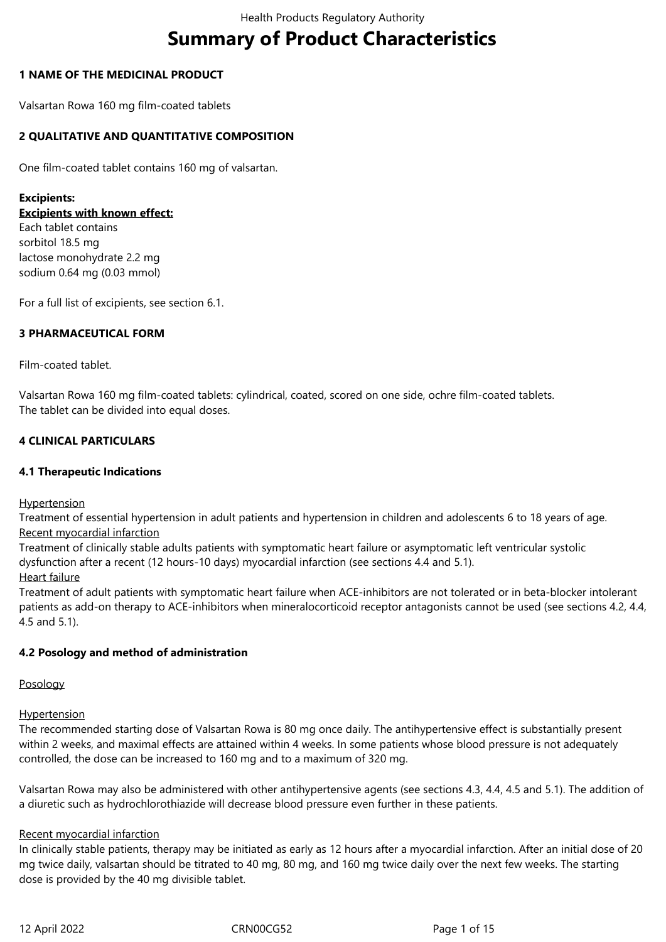# **Summary of Product Characteristics**

# **1 NAME OF THE MEDICINAL PRODUCT**

Valsartan Rowa 160 mg film-coated tablets

# **2 QUALITATIVE AND QUANTITATIVE COMPOSITION**

One film-coated tablet contains 160 mg of valsartan.

### **Excipients:**

**Excipients with known effect:**

Each tablet contains sorbitol 18.5 mg lactose monohydrate 2.2 mg sodium 0.64 mg (0.03 mmol)

For a full list of excipients, see section 6.1.

# **3 PHARMACEUTICAL FORM**

Film-coated tablet.

Valsartan Rowa 160 mg film-coated tablets: cylindrical, coated, scored on one side, ochre film-coated tablets. The tablet can be divided into equal doses.

# **4 CLINICAL PARTICULARS**

# **4.1 Therapeutic Indications**

**Hypertension** 

Treatment of essential hypertension in adult patients and hypertension in children and adolescents 6 to 18 years of age. Recent myocardial infarction

Treatment of clinically stable adults patients with symptomatic heart failure or asymptomatic left ventricular systolic dysfunction after a recent (12 hours-10 days) myocardial infarction (see sections 4.4 and 5.1).

Heart failure

Treatment of adult patients with symptomatic heart failure when ACE-inhibitors are not tolerated or in beta-blocker intolerant patients as add-on therapy to ACE-inhibitors when mineralocorticoid receptor antagonists cannot be used (see sections 4.2, 4.4, 4.5 and 5.1).

### **4.2 Posology and method of administration**

### Posology

### **Hypertension**

The recommended starting dose of Valsartan Rowa is 80 mg once daily. The antihypertensive effect is substantially present within 2 weeks, and maximal effects are attained within 4 weeks. In some patients whose blood pressure is not adequately controlled, the dose can be increased to 160 mg and to a maximum of 320 mg.

Valsartan Rowa may also be administered with other antihypertensive agents (see sections 4.3, 4.4, 4.5 and 5.1). The addition of a diuretic such as hydrochlorothiazide will decrease blood pressure even further in these patients.

# Recent myocardial infarction

In clinically stable patients, therapy may be initiated as early as 12 hours after a myocardial infarction. After an initial dose of 20 mg twice daily, valsartan should be titrated to 40 mg, 80 mg, and 160 mg twice daily over the next few weeks. The starting dose is provided by the 40 mg divisible tablet.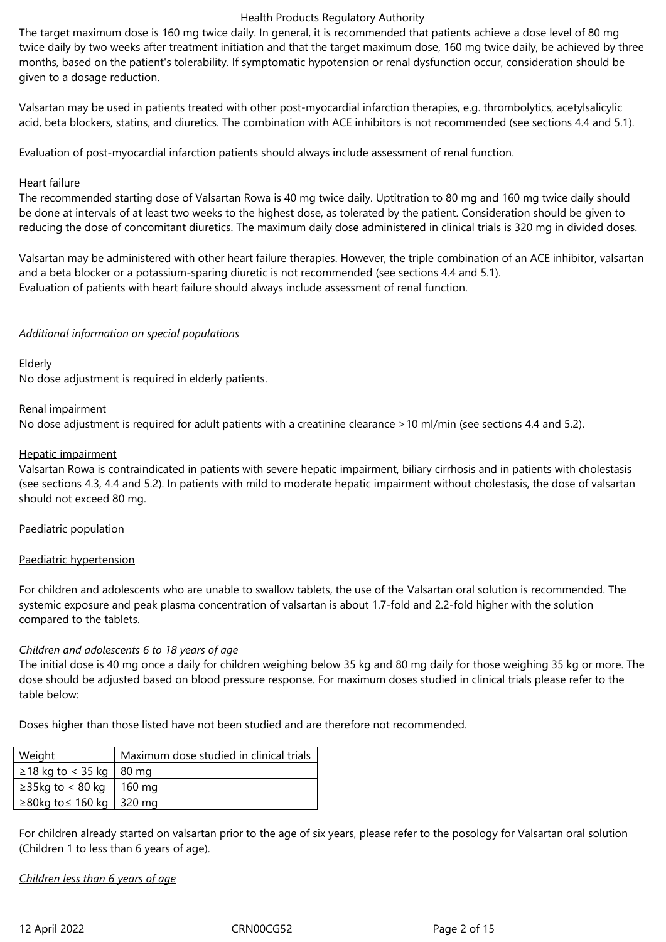The target maximum dose is 160 mg twice daily. In general, it is recommended that patients achieve a dose level of 80 mg twice daily by two weeks after treatment initiation and that the target maximum dose, 160 mg twice daily, be achieved by three months, based on the patient's tolerability. If symptomatic hypotension or renal dysfunction occur, consideration should be given to a dosage reduction.

Valsartan may be used in patients treated with other post-myocardial infarction therapies, e.g. thrombolytics, acetylsalicylic acid, beta blockers, statins, and diuretics. The combination with ACE inhibitors is not recommended (see sections 4.4 and 5.1).

Evaluation of post-myocardial infarction patients should always include assessment of renal function.

### Heart failure

The recommended starting dose of Valsartan Rowa is 40 mg twice daily. Uptitration to 80 mg and 160 mg twice daily should be done at intervals of at least two weeks to the highest dose, as tolerated by the patient. Consideration should be given to reducing the dose of concomitant diuretics. The maximum daily dose administered in clinical trials is 320 mg in divided doses.

Valsartan may be administered with other heart failure therapies. However, the triple combination of an ACE inhibitor, valsartan and a beta blocker or a potassium-sparing diuretic is not recommended (see sections 4.4 and 5.1). Evaluation of patients with heart failure should always include assessment of renal function.

### *Additional information on special populations*

# Elderly

No dose adjustment is required in elderly patients.

# Renal impairment

No dose adjustment is required for adult patients with a creatinine clearance >10 ml/min (see sections 4.4 and 5.2).

# Hepatic impairment

Valsartan Rowa is contraindicated in patients with severe hepatic impairment, biliary cirrhosis and in patients with cholestasis (see sections 4.3, 4.4 and 5.2). In patients with mild to moderate hepatic impairment without cholestasis, the dose of valsartan should not exceed 80 mg.

### Paediatric population

### Paediatric hypertension

For children and adolescents who are unable to swallow tablets, the use of the Valsartan oral solution is recommended. The systemic exposure and peak plasma concentration of valsartan is about 1.7-fold and 2.2-fold higher with the solution compared to the tablets.

### *Children and adolescents 6 to 18 years of age*

The initial dose is 40 mg once a daily for children weighing below 35 kg and 80 mg daily for those weighing 35 kg or more. The dose should be adjusted based on blood pressure response. For maximum doses studied in clinical trials please refer to the table below:

Doses higher than those listed have not been studied and are therefore not recommended.

| Weight                          | Maximum dose studied in clinical trials |
|---------------------------------|-----------------------------------------|
| $\geq$ 18 kg to < 35 kg   80 mg |                                         |
| $\geq$ 35kg to < 80 kg   160 mg |                                         |
| ≥80kg to ≤ 160 kg   320 mg      |                                         |

For children already started on valsartan prior to the age of six years, please refer to the posology for Valsartan oral solution (Children 1 to less than 6 years of age).

*Children less than 6 years of age*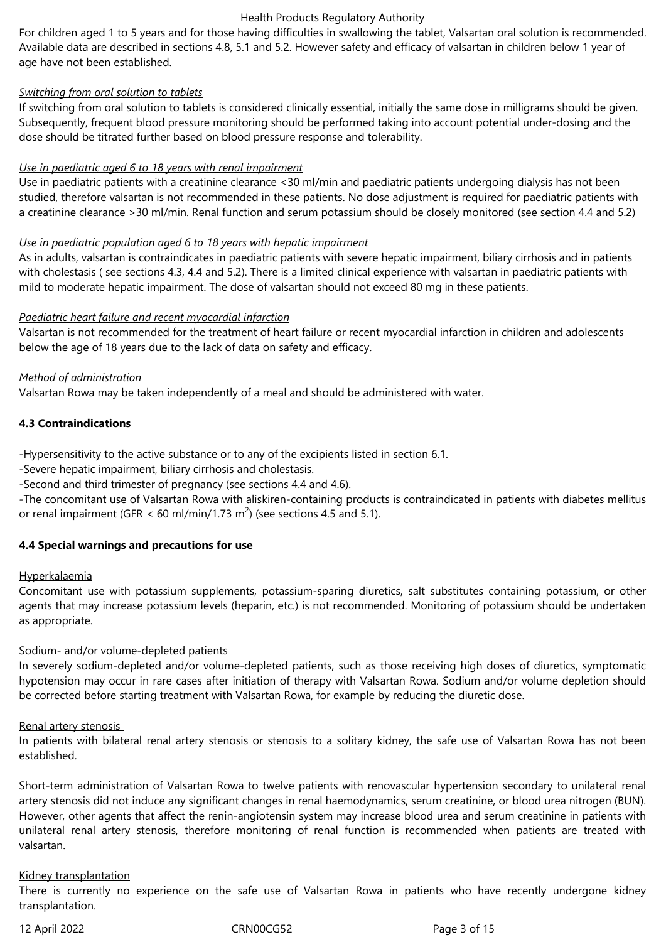For children aged 1 to 5 years and for those having difficulties in swallowing the tablet, Valsartan oral solution is recommended. Available data are described in sections 4.8, 5.1 and 5.2. However safety and efficacy of valsartan in children below 1 year of age have not been established.

### *Switching from oral solution to tablets*

If switching from oral solution to tablets is considered clinically essential, initially the same dose in milligrams should be given. Subsequently, frequent blood pressure monitoring should be performed taking into account potential under-dosing and the dose should be titrated further based on blood pressure response and tolerability.

# *Use in paediatric aged 6 to 18 years with renal impairment*

Use in paediatric patients with a creatinine clearance <30 ml/min and paediatric patients undergoing dialysis has not been studied, therefore valsartan is not recommended in these patients. No dose adjustment is required for paediatric patients with a creatinine clearance >30 ml/min. Renal function and serum potassium should be closely monitored (see section 4.4 and 5.2)

# *Use in paediatric population aged 6 to 18 years with hepatic impairment*

As in adults, valsartan is contraindicates in paediatric patients with severe hepatic impairment, biliary cirrhosis and in patients with cholestasis ( see sections 4.3, 4.4 and 5.2). There is a limited clinical experience with valsartan in paediatric patients with mild to moderate hepatic impairment. The dose of valsartan should not exceed 80 mg in these patients.

# *Paediatric heart failure and recent myocardial infarction*

Valsartan is not recommended for the treatment of heart failure or recent myocardial infarction in children and adolescents below the age of 18 years due to the lack of data on safety and efficacy.

# *Method of administration*

Valsartan Rowa may be taken independently of a meal and should be administered with water.

# **4.3 Contraindications**

-Hypersensitivity to the active substance or to any of the excipients listed in section 6.1.

-Severe hepatic impairment, biliary cirrhosis and cholestasis.

-Second and third trimester of pregnancy (see sections 4.4 and 4.6).

*-*The concomitant use of Valsartan Rowa with aliskiren-containing products is contraindicated in patients with diabetes mellitus or renal impairment (GFR < 60 ml/min/1.73 m<sup>2</sup>) (see sections 4.5 and 5.1).

# **4.4 Special warnings and precautions for use**

### Hyperkalaemia

Concomitant use with potassium supplements, potassium-sparing diuretics, salt substitutes containing potassium, or other agents that may increase potassium levels (heparin, etc.) is not recommended. Monitoring of potassium should be undertaken as appropriate.

### Sodium- and/or volume-depleted patients

In severely sodium-depleted and/or volume-depleted patients, such as those receiving high doses of diuretics, symptomatic hypotension may occur in rare cases after initiation of therapy with Valsartan Rowa. Sodium and/or volume depletion should be corrected before starting treatment with Valsartan Rowa, for example by reducing the diuretic dose.

### Renal artery stenosis

In patients with bilateral renal artery stenosis or stenosis to a solitary kidney, the safe use of Valsartan Rowa has not been established.

Short-term administration of Valsartan Rowa to twelve patients with renovascular hypertension secondary to unilateral renal artery stenosis did not induce any significant changes in renal haemodynamics, serum creatinine, or blood urea nitrogen (BUN). However, other agents that affect the renin-angiotensin system may increase blood urea and serum creatinine in patients with unilateral renal artery stenosis, therefore monitoring of renal function is recommended when patients are treated with valsartan.

### Kidney transplantation

There is currently no experience on the safe use of Valsartan Rowa in patients who have recently undergone kidney transplantation.

12 April 2022 CRN00CG52 Page 3 of 15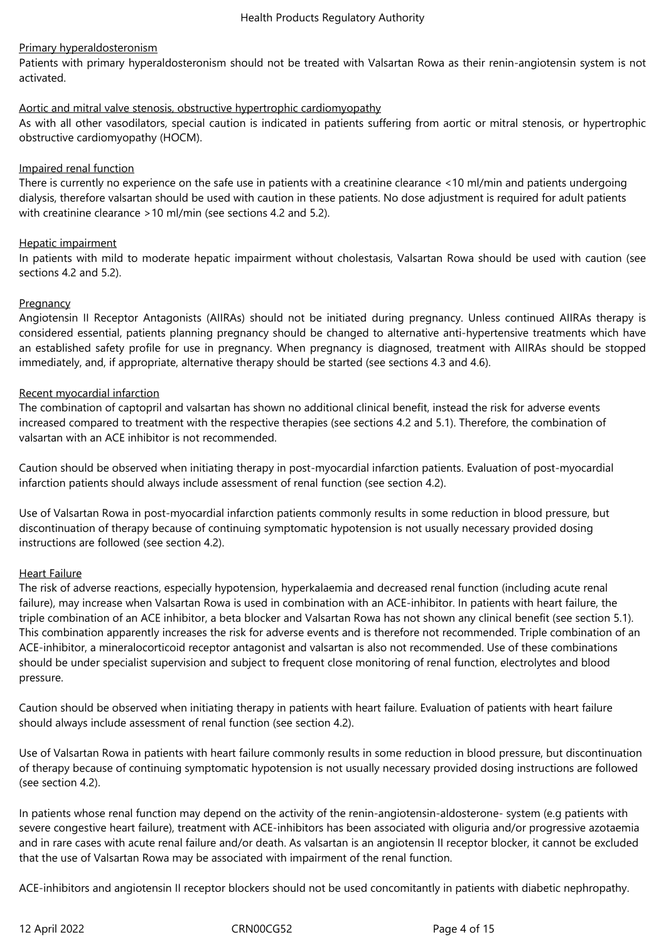# Primary hyperaldosteronism

Patients with primary hyperaldosteronism should not be treated with Valsartan Rowa as their renin-angiotensin system is not activated.

### Aortic and mitral valve stenosis, obstructive hypertrophic cardiomyopathy

As with all other vasodilators, special caution is indicated in patients suffering from aortic or mitral stenosis, or hypertrophic obstructive cardiomyopathy (HOCM).

# Impaired renal function

There is currently no experience on the safe use in patients with a creatinine clearance <10 ml/min and patients undergoing dialysis, therefore valsartan should be used with caution in these patients. No dose adjustment is required for adult patients with creatinine clearance >10 ml/min (see sections 4.2 and 5.2).

# Hepatic impairment

In patients with mild to moderate hepatic impairment without cholestasis, Valsartan Rowa should be used with caution (see sections 4.2 and 5.2).

# **Pregnancy**

Angiotensin II Receptor Antagonists (AIIRAs) should not be initiated during pregnancy. Unless continued AIIRAs therapy is considered essential, patients planning pregnancy should be changed to alternative anti-hypertensive treatments which have an established safety profile for use in pregnancy. When pregnancy is diagnosed, treatment with AIIRAs should be stopped immediately, and, if appropriate, alternative therapy should be started (see sections 4.3 and 4.6).

# Recent myocardial infarction

The combination of captopril and valsartan has shown no additional clinical benefit, instead the risk for adverse events increased compared to treatment with the respective therapies (see sections 4.2 and 5.1). Therefore, the combination of valsartan with an ACE inhibitor is not recommended.

Caution should be observed when initiating therapy in post-myocardial infarction patients. Evaluation of post-myocardial infarction patients should always include assessment of renal function (see section 4.2).

Use of Valsartan Rowa in post-myocardial infarction patients commonly results in some reduction in blood pressure, but discontinuation of therapy because of continuing symptomatic hypotension is not usually necessary provided dosing instructions are followed (see section 4.2).

# Heart Failure

The risk of adverse reactions, especially hypotension, hyperkalaemia and decreased renal function (including acute renal failure), may increase when Valsartan Rowa is used in combination with an ACE-inhibitor. In patients with heart failure, the triple combination of an ACE inhibitor, a beta blocker and Valsartan Rowa has not shown any clinical benefit (see section 5.1). This combination apparently increases the risk for adverse events and is therefore not recommended. Triple combination of an ACE-inhibitor, a mineralocorticoid receptor antagonist and valsartan is also not recommended. Use of these combinations should be under specialist supervision and subject to frequent close monitoring of renal function, electrolytes and blood pressure.

Caution should be observed when initiating therapy in patients with heart failure. Evaluation of patients with heart failure should always include assessment of renal function (see section 4.2).

Use of Valsartan Rowa in patients with heart failure commonly results in some reduction in blood pressure, but discontinuation of therapy because of continuing symptomatic hypotension is not usually necessary provided dosing instructions are followed (see section 4.2).

In patients whose renal function may depend on the activity of the renin-angiotensin-aldosterone- system (e.g patients with severe congestive heart failure), treatment with ACE-inhibitors has been associated with oliguria and/or progressive azotaemia and in rare cases with acute renal failure and/or death. As valsartan is an angiotensin II receptor blocker, it cannot be excluded that the use of Valsartan Rowa may be associated with impairment of the renal function.

ACE-inhibitors and angiotensin II receptor blockers should not be used concomitantly in patients with diabetic nephropathy.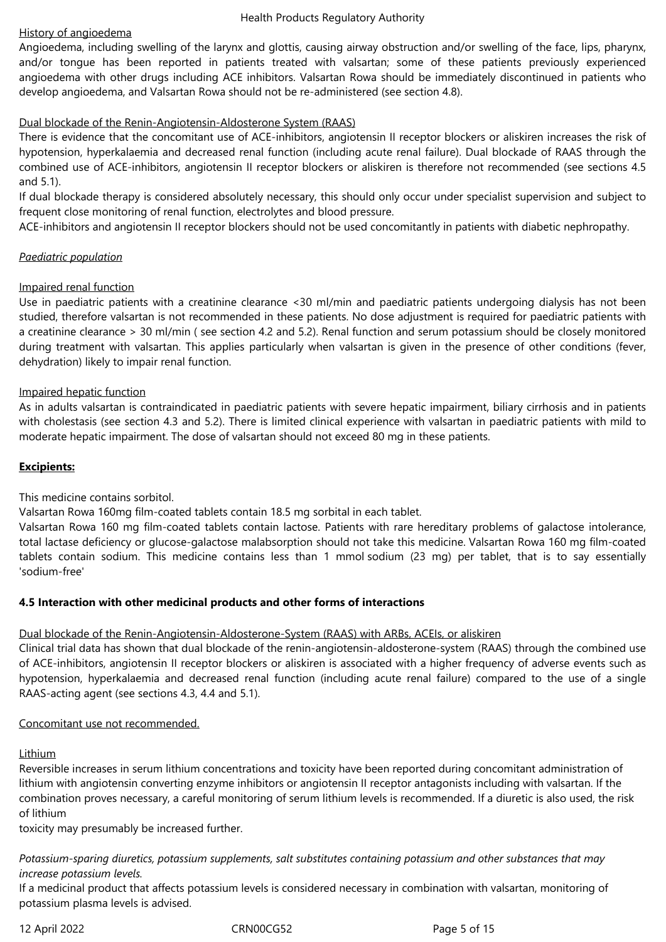# History of angioedema

Angioedema, including swelling of the larynx and glottis, causing airway obstruction and/or swelling of the face, lips, pharynx, and/or tongue has been reported in patients treated with valsartan; some of these patients previously experienced angioedema with other drugs including ACE inhibitors. Valsartan Rowa should be immediately discontinued in patients who develop angioedema, and Valsartan Rowa should not be re-administered (see section 4.8).

# Dual blockade of the Renin-Angiotensin-Aldosterone System (RAAS)

There is evidence that the concomitant use of ACE-inhibitors, angiotensin II receptor blockers or aliskiren increases the risk of hypotension, hyperkalaemia and decreased renal function (including acute renal failure). Dual blockade of RAAS through the combined use of ACE-inhibitors, angiotensin II receptor blockers or aliskiren is therefore not recommended (see sections 4.5 and 5.1).

If dual blockade therapy is considered absolutely necessary, this should only occur under specialist supervision and subject to frequent close monitoring of renal function, electrolytes and blood pressure.

ACE-inhibitors and angiotensin II receptor blockers should not be used concomitantly in patients with diabetic nephropathy.

# *Paediatric population*

### Impaired renal function

Use in paediatric patients with a creatinine clearance <30 ml/min and paediatric patients undergoing dialysis has not been studied, therefore valsartan is not recommended in these patients. No dose adjustment is required for paediatric patients with a creatinine clearance > 30 ml/min ( see section 4.2 and 5.2). Renal function and serum potassium should be closely monitored during treatment with valsartan. This applies particularly when valsartan is given in the presence of other conditions (fever, dehydration) likely to impair renal function.

### Impaired hepatic function

As in adults valsartan is contraindicated in paediatric patients with severe hepatic impairment, biliary cirrhosis and in patients with cholestasis (see section 4.3 and 5.2). There is limited clinical experience with valsartan in paediatric patients with mild to moderate hepatic impairment. The dose of valsartan should not exceed 80 mg in these patients.

### **Excipients:**

This medicine contains sorbitol.

Valsartan Rowa 160mg film-coated tablets contain 18.5 mg sorbital in each tablet.

Valsartan Rowa 160 mg film-coated tablets contain lactose. Patients with rare hereditary problems of galactose intolerance, total lactase deficiency or glucose-galactose malabsorption should not take this medicine. Valsartan Rowa 160 mg film-coated tablets contain sodium. This medicine contains less than 1 mmol sodium (23 mg) per tablet, that is to say essentially 'sodium-free'

### **4.5 Interaction with other medicinal products and other forms of interactions**

### Dual blockade of the Renin-Angiotensin-Aldosterone-System (RAAS) with ARBs, ACEIs, or aliskiren

Clinical trial data has shown that dual blockade of the renin-angiotensin-aldosterone-system (RAAS) through the combined use of ACE-inhibitors, angiotensin II receptor blockers or aliskiren is associated with a higher frequency of adverse events such as hypotension, hyperkalaemia and decreased renal function (including acute renal failure) compared to the use of a single RAAS-acting agent (see sections 4.3, 4.4 and 5.1)*.*

### Concomitant use not recommended.

### Lithium

Reversible increases in serum lithium concentrations and toxicity have been reported during concomitant administration of lithium with angiotensin converting enzyme inhibitors or angiotensin II receptor antagonists including with valsartan. If the combination proves necessary, a careful monitoring of serum lithium levels is recommended. If a diuretic is also used, the risk of lithium

toxicity may presumably be increased further.

*Potassium-sparing diuretics, potassium supplements, salt substitutes containing potassium and other substances that may increase potassium levels.*

If a medicinal product that affects potassium levels is considered necessary in combination with valsartan, monitoring of potassium plasma levels is advised.

12 April 2022 CRN00CG52 Page 5 of 15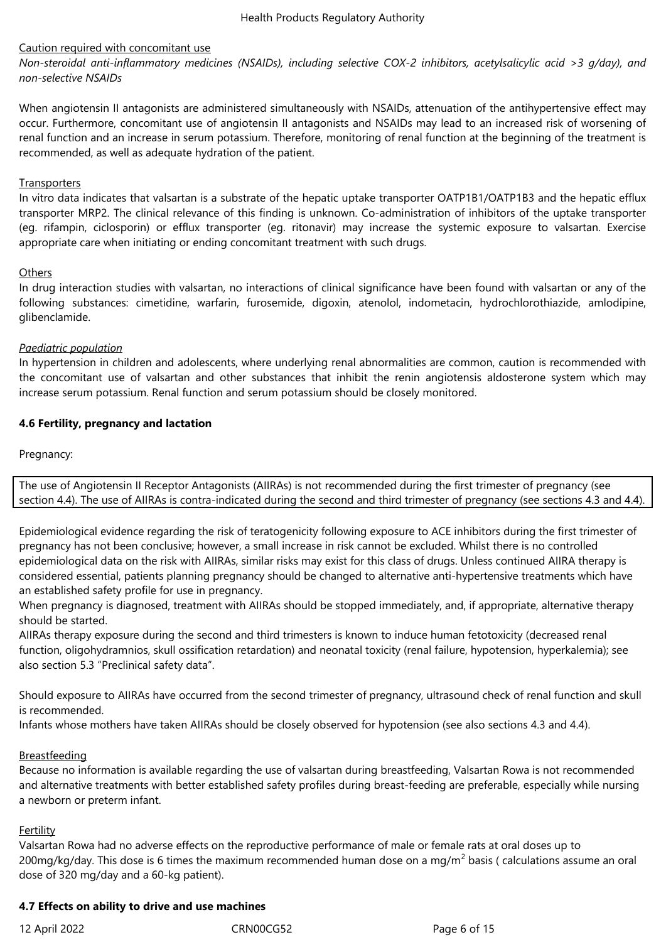### Caution required with concomitant use

*Non-steroidal anti-inflammatory medicines (NSAIDs), including selective COX-2 inhibitors, acetylsalicylic acid >3 g/day), and non-selective NSAIDs*

When angiotensin II antagonists are administered simultaneously with NSAIDs, attenuation of the antihypertensive effect may occur. Furthermore, concomitant use of angiotensin II antagonists and NSAIDs may lead to an increased risk of worsening of renal function and an increase in serum potassium. Therefore, monitoring of renal function at the beginning of the treatment is recommended, as well as adequate hydration of the patient.

### **Transporters**

In vitro data indicates that valsartan is a substrate of the hepatic uptake transporter OATP1B1/OATP1B3 and the hepatic efflux transporter MRP2. The clinical relevance of this finding is unknown. Co-administration of inhibitors of the uptake transporter (eg. rifampin, ciclosporin) or efflux transporter (eg. ritonavir) may increase the systemic exposure to valsartan. Exercise appropriate care when initiating or ending concomitant treatment with such drugs.

### **Others**

In drug interaction studies with valsartan, no interactions of clinical significance have been found with valsartan or any of the following substances: cimetidine, warfarin, furosemide, digoxin, atenolol, indometacin, hydrochlorothiazide, amlodipine, glibenclamide.

# *Paediatric population*

In hypertension in children and adolescents, where underlying renal abnormalities are common, caution is recommended with the concomitant use of valsartan and other substances that inhibit the renin angiotensis aldosterone system which may increase serum potassium. Renal function and serum potassium should be closely monitored.

# **4.6 Fertility, pregnancy and lactation**

Pregnancy:

The use of Angiotensin II Receptor Antagonists (AIIRAs) is not recommended during the first trimester of pregnancy (see section 4.4). The use of AIIRAs is contra-indicated during the second and third trimester of pregnancy (see sections 4.3 and 4.4).

Epidemiological evidence regarding the risk of teratogenicity following exposure to ACE inhibitors during the first trimester of pregnancy has not been conclusive; however, a small increase in risk cannot be excluded. Whilst there is no controlled epidemiological data on the risk with AIIRAs, similar risks may exist for this class of drugs. Unless continued AIIRA therapy is considered essential, patients planning pregnancy should be changed to alternative anti-hypertensive treatments which have an established safety profile for use in pregnancy.

When pregnancy is diagnosed, treatment with AIIRAs should be stopped immediately, and, if appropriate, alternative therapy should be started.

AIIRAs therapy exposure during the second and third trimesters is known to induce human fetotoxicity (decreased renal function, oligohydramnios, skull ossification retardation) and neonatal toxicity (renal failure, hypotension, hyperkalemia); see also section 5.3 "Preclinical safety data".

Should exposure to AIIRAs have occurred from the second trimester of pregnancy, ultrasound check of renal function and skull is recommended.

Infants whose mothers have taken AIIRAs should be closely observed for hypotension (see also sections 4.3 and 4.4).

# Breastfeeding

Because no information is available regarding the use of valsartan during breastfeeding, Valsartan Rowa is not recommended and alternative treatments with better established safety profiles during breast-feeding are preferable, especially while nursing a newborn or preterm infant.

### Fertility

Valsartan Rowa had no adverse effects on the reproductive performance of male or female rats at oral doses up to 200mg/kg/day. This dose is 6 times the maximum recommended human dose on a mg/m<sup>2</sup> basis ( calculations assume an oral dose of 320 mg/day and a 60-kg patient).

### **4.7 Effects on ability to drive and use machines**

12 April 2022 CRN00CG52 Page 6 of 15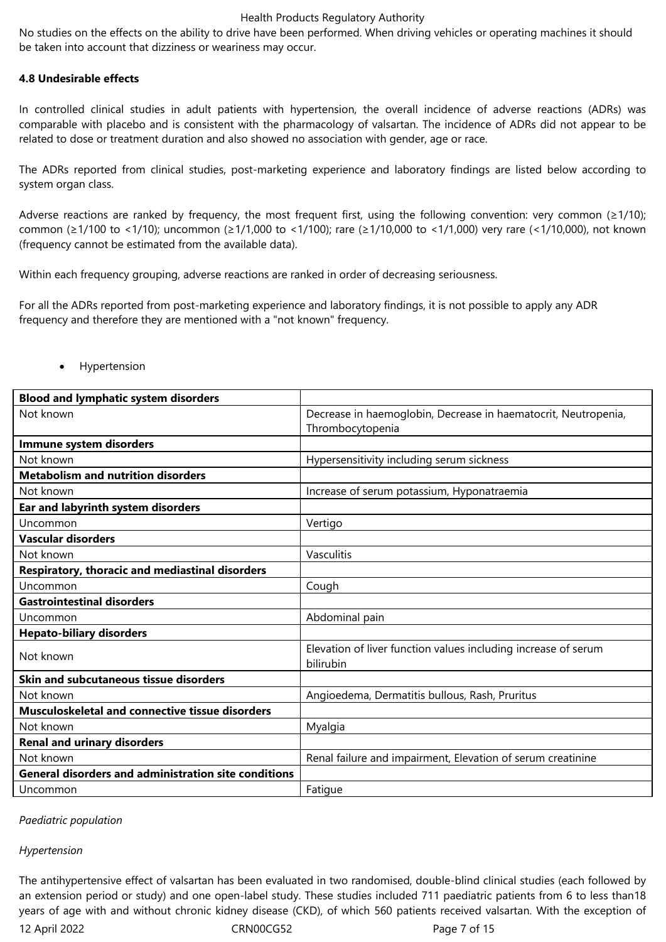No studies on the effects on the ability to drive have been performed. When driving vehicles or operating machines it should be taken into account that dizziness or weariness may occur.

#### **4.8 Undesirable effects**

In controlled clinical studies in adult patients with hypertension, the overall incidence of adverse reactions (ADRs) was comparable with placebo and is consistent with the pharmacology of valsartan. The incidence of ADRs did not appear to be related to dose or treatment duration and also showed no association with gender, age or race.

The ADRs reported from clinical studies, post-marketing experience and laboratory findings are listed below according to system organ class.

Adverse reactions are ranked by frequency, the most frequent first, using the following convention: very common (≥1/10); common (≥1/100 to <1/10); uncommon (≥1/1,000 to <1/100); rare (≥1/10,000 to <1/1,000) very rare (<1/10,000), not known (frequency cannot be estimated from the available data).

Within each frequency grouping, adverse reactions are ranked in order of decreasing seriousness.

For all the ADRs reported from post-marketing experience and laboratory findings, it is not possible to apply any ADR frequency and therefore they are mentioned with a "not known" frequency.

| <b>Blood and lymphatic system disorders</b>          |                                                                                    |
|------------------------------------------------------|------------------------------------------------------------------------------------|
| Not known                                            | Decrease in haemoglobin, Decrease in haematocrit, Neutropenia,<br>Thrombocytopenia |
| Immune system disorders                              |                                                                                    |
| Not known                                            | Hypersensitivity including serum sickness                                          |
| <b>Metabolism and nutrition disorders</b>            |                                                                                    |
| Not known                                            | Increase of serum potassium, Hyponatraemia                                         |
| Ear and labyrinth system disorders                   |                                                                                    |
| Uncommon                                             | Vertigo                                                                            |
| <b>Vascular disorders</b>                            |                                                                                    |
| Not known                                            | Vasculitis                                                                         |
| Respiratory, thoracic and mediastinal disorders      |                                                                                    |
| Uncommon                                             | Cough                                                                              |
| <b>Gastrointestinal disorders</b>                    |                                                                                    |
| Uncommon                                             | Abdominal pain                                                                     |
| <b>Hepato-biliary disorders</b>                      |                                                                                    |
| Not known                                            | Elevation of liver function values including increase of serum<br>bilirubin        |
| Skin and subcutaneous tissue disorders               |                                                                                    |
| Not known                                            | Angioedema, Dermatitis bullous, Rash, Pruritus                                     |
| Musculoskeletal and connective tissue disorders      |                                                                                    |
| Not known                                            | Myalgia                                                                            |
| <b>Renal and urinary disorders</b>                   |                                                                                    |
| Not known                                            | Renal failure and impairment, Elevation of serum creatinine                        |
| General disorders and administration site conditions |                                                                                    |
| Uncommon                                             | Fatigue                                                                            |

Hypertension

*Paediatric population*

#### *Hypertension*

The antihypertensive effect of valsartan has been evaluated in two randomised, double-blind clinical studies (each followed by an extension period or study) and one open-label study. These studies included 711 paediatric patients from 6 to less than18 years of age with and without chronic kidney disease (CKD), of which 560 patients received valsartan. With the exception of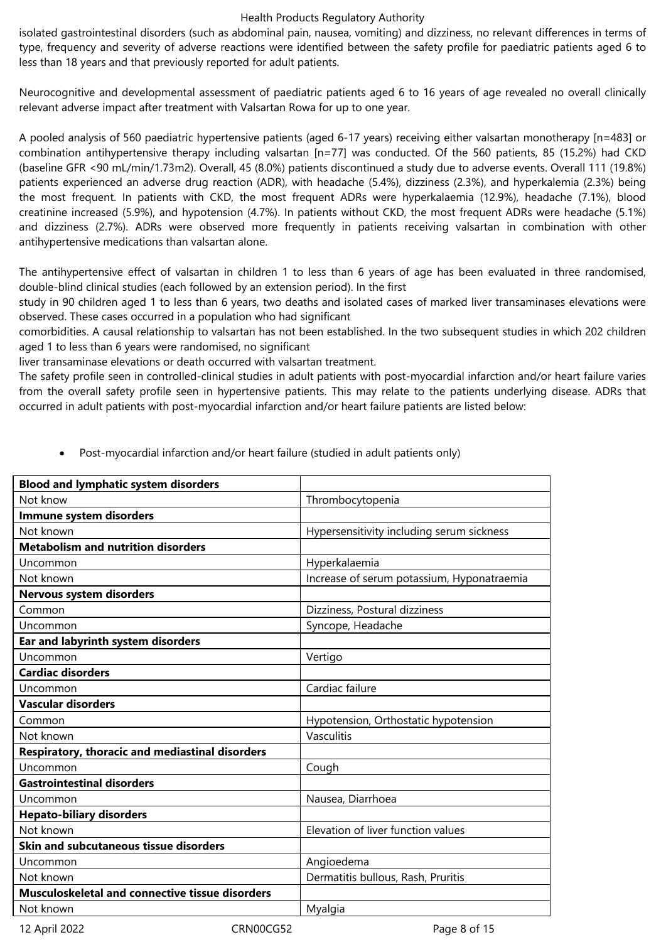isolated gastrointestinal disorders (such as abdominal pain, nausea, vomiting) and dizziness, no relevant differences in terms of type, frequency and severity of adverse reactions were identified between the safety profile for paediatric patients aged 6 to less than 18 years and that previously reported for adult patients.

Neurocognitive and developmental assessment of paediatric patients aged 6 to 16 years of age revealed no overall clinically relevant adverse impact after treatment with Valsartan Rowa for up to one year.

A pooled analysis of 560 paediatric hypertensive patients (aged 6-17 years) receiving either valsartan monotherapy [n=483] or combination antihypertensive therapy including valsartan [n=77] was conducted. Of the 560 patients, 85 (15.2%) had CKD (baseline GFR <90 mL/min/1.73m2). Overall, 45 (8.0%) patients discontinued a study due to adverse events. Overall 111 (19.8%) patients experienced an adverse drug reaction (ADR), with headache (5.4%), dizziness (2.3%), and hyperkalemia (2.3%) being the most frequent. In patients with CKD, the most frequent ADRs were hyperkalaemia (12.9%), headache (7.1%), blood creatinine increased (5.9%), and hypotension (4.7%). In patients without CKD, the most frequent ADRs were headache (5.1%) and dizziness (2.7%). ADRs were observed more frequently in patients receiving valsartan in combination with other antihypertensive medications than valsartan alone.

The antihypertensive effect of valsartan in children 1 to less than 6 years of age has been evaluated in three randomised, double-blind clinical studies (each followed by an extension period). In the first

study in 90 children aged 1 to less than 6 years, two deaths and isolated cases of marked liver transaminases elevations were observed. These cases occurred in a population who had significant

comorbidities. A causal relationship to valsartan has not been established. In the two subsequent studies in which 202 children aged 1 to less than 6 years were randomised, no significant

liver transaminase elevations or death occurred with valsartan treatment.

The safety profile seen in controlled-clinical studies in adult patients with post-myocardial infarction and/or heart failure varies from the overall safety profile seen in hypertensive patients. This may relate to the patients underlying disease. ADRs that occurred in adult patients with post-myocardial infarction and/or heart failure patients are listed below:

| <b>Blood and lymphatic system disorders</b>     |                                            |
|-------------------------------------------------|--------------------------------------------|
| Not know                                        | Thrombocytopenia                           |
| Immune system disorders                         |                                            |
| Not known                                       | Hypersensitivity including serum sickness  |
| <b>Metabolism and nutrition disorders</b>       |                                            |
| Uncommon                                        | Hyperkalaemia                              |
| Not known                                       | Increase of serum potassium, Hyponatraemia |
| <b>Nervous system disorders</b>                 |                                            |
| Common                                          | Dizziness, Postural dizziness              |
| Uncommon                                        | Syncope, Headache                          |
| Ear and labyrinth system disorders              |                                            |
| Uncommon                                        | Vertigo                                    |
| <b>Cardiac disorders</b>                        |                                            |
| Uncommon                                        | Cardiac failure                            |
| <b>Vascular disorders</b>                       |                                            |
| Common                                          | Hypotension, Orthostatic hypotension       |
| Not known                                       | Vasculitis                                 |
| Respiratory, thoracic and mediastinal disorders |                                            |
| Uncommon                                        | Cough                                      |
| <b>Gastrointestinal disorders</b>               |                                            |
| Uncommon                                        | Nausea, Diarrhoea                          |
| <b>Hepato-biliary disorders</b>                 |                                            |
| Not known                                       | Elevation of liver function values         |
| <b>Skin and subcutaneous tissue disorders</b>   |                                            |
| Uncommon                                        | Angioedema                                 |
| Not known                                       | Dermatitis bullous, Rash, Pruritis         |
| Musculoskeletal and connective tissue disorders |                                            |
| Not known                                       | Myalgia                                    |

Post-myocardial infarction and/or heart failure (studied in adult patients only)

12 April 2022 CRN00CG52 Page 8 of 15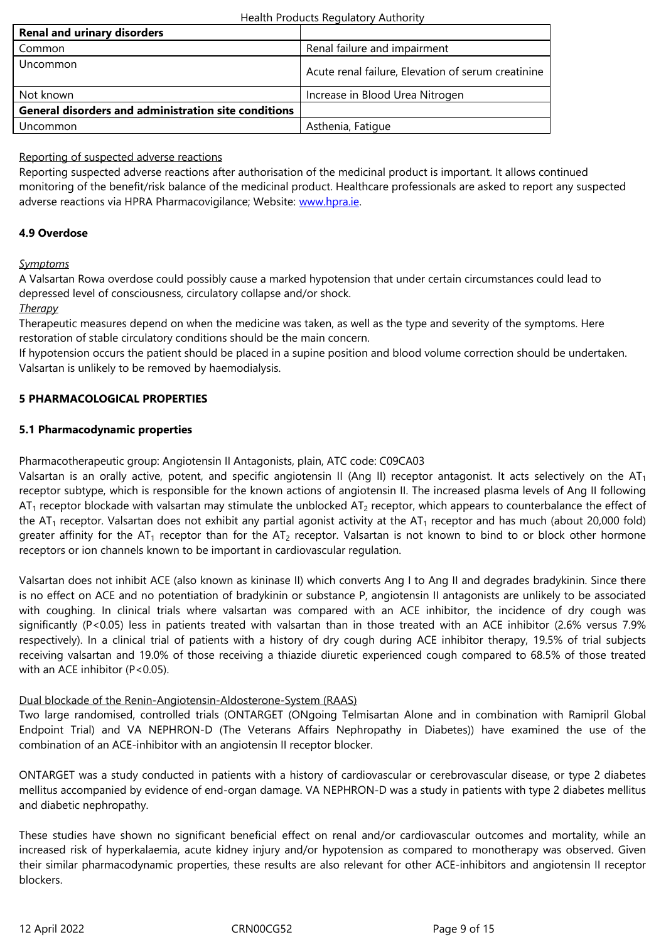| Uncommon                                                    | Acute renal failure, Elevation of serum creatinine |
|-------------------------------------------------------------|----------------------------------------------------|
| Not known                                                   | Increase in Blood Urea Nitrogen                    |
| <b>General disorders and administration site conditions</b> |                                                    |
| Uncommon                                                    | Asthenia, Fatique                                  |
|                                                             |                                                    |

# Reporting of suspected adverse reactions

Reporting suspected adverse reactions after authorisation of the medicinal product is important. It allows continued monitoring of the benefit/risk balance of the medicinal product. Healthcare professionals are asked to report any suspected adverse reactions via HPRA Pharmacovigilance; Website: www.hpra.ie.

# **4.9 Overdose**

### *Symptoms*

A Valsartan Rowa overdose could possibly cause a marked hypotension that under certain circumstances could lead to depressed level of consciousness, circulatory collapse and/or shock.

# *Therapy*

Therapeutic measures depend on when the medicine was taken, as well as the type and severity of the symptoms. Here restoration of stable circulatory conditions should be the main concern.

If hypotension occurs the patient should be placed in a supine position and blood volume correction should be undertaken. Valsartan is unlikely to be removed by haemodialysis.

# **5 PHARMACOLOGICAL PROPERTIES**

# **5.1 Pharmacodynamic properties**

Pharmacotherapeutic group: Angiotensin II Antagonists, plain, ATC code: C09CA03

Valsartan is an orally active, potent, and specific angiotensin II (Ang II) receptor antagonist. It acts selectively on the  $AT<sub>1</sub>$ receptor subtype, which is responsible for the known actions of angiotensin II. The increased plasma levels of Ang II following  $AT_1$  receptor blockade with valsartan may stimulate the unblocked  $AT_2$  receptor, which appears to counterbalance the effect of the AT<sub>1</sub> receptor. Valsartan does not exhibit any partial agonist activity at the AT<sub>1</sub> receptor and has much (about 20,000 fold) greater affinity for the AT<sub>1</sub> receptor than for the AT<sub>2</sub> receptor. Valsartan is not known to bind to or block other hormone receptors or ion channels known to be important in cardiovascular regulation.

Valsartan does not inhibit ACE (also known as kininase II) which converts Ang I to Ang II and degrades bradykinin. Since there is no effect on ACE and no potentiation of bradykinin or substance P, angiotensin II antagonists are unlikely to be associated with coughing. In clinical trials where valsartan was compared with an ACE inhibitor, the incidence of dry cough was significantly (P<0.05) less in patients treated with valsartan than in those treated with an ACE inhibitor (2.6% versus 7.9% respectively). In a clinical trial of patients with a history of dry cough during ACE inhibitor therapy, 19.5% of trial subjects receiving valsartan and 19.0% of those receiving a thiazide diuretic experienced cough compared to 68.5% of those treated with an ACE inhibitor (P<0.05).

# Dual blockade of the Renin-Angiotensin-Aldosterone-System (RAAS)

Two large randomised, controlled trials (ONTARGET (ONgoing Telmisartan Alone and in combination with Ramipril Global Endpoint Trial) and VA NEPHRON-D (The Veterans Affairs Nephropathy in Diabetes)) have examined the use of the combination of an ACE-inhibitor with an angiotensin II receptor blocker.

ONTARGET was a study conducted in patients with a history of cardiovascular or cerebrovascular disease, or type 2 diabetes mellitus accompanied by evidence of end-organ damage. VA NEPHRON-D was a study in patients with type 2 diabetes mellitus and diabetic nephropathy.

These studies have shown no significant beneficial effect on renal and/or cardiovascular outcomes and mortality, while an increased risk of hyperkalaemia, acute kidney injury and/or hypotension as compared to monotherapy was observed. Given their similar pharmacodynamic properties, these results are also relevant for other ACE-inhibitors and angiotensin II receptor blockers.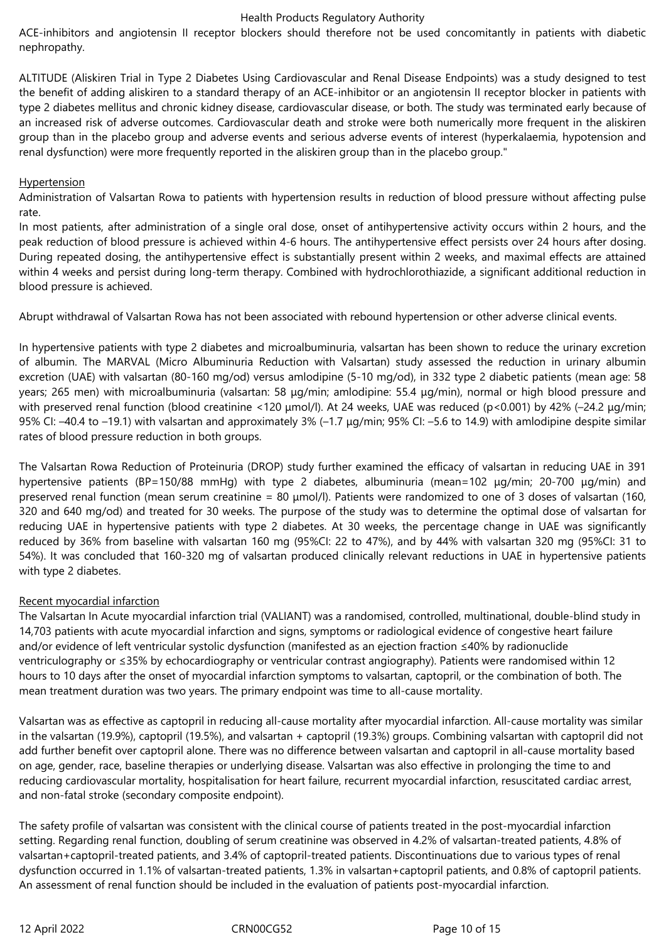ACE-inhibitors and angiotensin II receptor blockers should therefore not be used concomitantly in patients with diabetic nephropathy.

ALTITUDE (Aliskiren Trial in Type 2 Diabetes Using Cardiovascular and Renal Disease Endpoints) was a study designed to test the benefit of adding aliskiren to a standard therapy of an ACE-inhibitor or an angiotensin II receptor blocker in patients with type 2 diabetes mellitus and chronic kidney disease, cardiovascular disease, or both. The study was terminated early because of an increased risk of adverse outcomes. Cardiovascular death and stroke were both numerically more frequent in the aliskiren group than in the placebo group and adverse events and serious adverse events of interest (hyperkalaemia, hypotension and renal dysfunction) were more frequently reported in the aliskiren group than in the placebo group."

### Hypertension

Administration of Valsartan Rowa to patients with hypertension results in reduction of blood pressure without affecting pulse rate.

In most patients, after administration of a single oral dose, onset of antihypertensive activity occurs within 2 hours, and the peak reduction of blood pressure is achieved within 4-6 hours. The antihypertensive effect persists over 24 hours after dosing. During repeated dosing, the antihypertensive effect is substantially present within 2 weeks, and maximal effects are attained within 4 weeks and persist during long-term therapy. Combined with hydrochlorothiazide, a significant additional reduction in blood pressure is achieved.

Abrupt withdrawal of Valsartan Rowa has not been associated with rebound hypertension or other adverse clinical events.

In hypertensive patients with type 2 diabetes and microalbuminuria, valsartan has been shown to reduce the urinary excretion of albumin. The MARVAL (Micro Albuminuria Reduction with Valsartan) study assessed the reduction in urinary albumin excretion (UAE) with valsartan (80-160 mg/od) versus amlodipine (5-10 mg/od), in 332 type 2 diabetic patients (mean age: 58 years; 265 men) with microalbuminuria (valsartan: 58 μg/min; amlodipine: 55.4 μg/min), normal or high blood pressure and with preserved renal function (blood creatinine <120 μmol/l). At 24 weeks, UAE was reduced (p<0.001) by 42% (-24.2 μg/min; 95% CI: –40.4 to –19.1) with valsartan and approximately 3% (–1.7 μg/min; 95% CI: –5.6 to 14.9) with amlodipine despite similar rates of blood pressure reduction in both groups.

The Valsartan Rowa Reduction of Proteinuria (DROP) study further examined the efficacy of valsartan in reducing UAE in 391 hypertensive patients (BP=150/88 mmHg) with type 2 diabetes, albuminuria (mean=102 μg/min; 20-700 μg/min) and preserved renal function (mean serum creatinine = 80 µmol/l). Patients were randomized to one of 3 doses of valsartan (160, 320 and 640 mg/od) and treated for 30 weeks. The purpose of the study was to determine the optimal dose of valsartan for reducing UAE in hypertensive patients with type 2 diabetes. At 30 weeks, the percentage change in UAE was significantly reduced by 36% from baseline with valsartan 160 mg (95%CI: 22 to 47%), and by 44% with valsartan 320 mg (95%CI: 31 to 54%). It was concluded that 160-320 mg of valsartan produced clinically relevant reductions in UAE in hypertensive patients with type 2 diabetes.

### Recent myocardial infarction

The Valsartan In Acute myocardial infarction trial (VALIANT) was a randomised, controlled, multinational, double-blind study in 14,703 patients with acute myocardial infarction and signs, symptoms or radiological evidence of congestive heart failure and/or evidence of left ventricular systolic dysfunction (manifested as an ejection fraction ≤40% by radionuclide ventriculography or ≤35% by echocardiography or ventricular contrast angiography). Patients were randomised within 12 hours to 10 days after the onset of myocardial infarction symptoms to valsartan, captopril, or the combination of both. The mean treatment duration was two years. The primary endpoint was time to all-cause mortality.

Valsartan was as effective as captopril in reducing all-cause mortality after myocardial infarction. All-cause mortality was similar in the valsartan (19.9%), captopril (19.5%), and valsartan + captopril (19.3%) groups. Combining valsartan with captopril did not add further benefit over captopril alone. There was no difference between valsartan and captopril in all-cause mortality based on age, gender, race, baseline therapies or underlying disease. Valsartan was also effective in prolonging the time to and reducing cardiovascular mortality, hospitalisation for heart failure, recurrent myocardial infarction, resuscitated cardiac arrest, and non-fatal stroke (secondary composite endpoint).

The safety profile of valsartan was consistent with the clinical course of patients treated in the post-myocardial infarction setting. Regarding renal function, doubling of serum creatinine was observed in 4.2% of valsartan-treated patients, 4.8% of valsartan+captopril-treated patients, and 3.4% of captopril-treated patients. Discontinuations due to various types of renal dysfunction occurred in 1.1% of valsartan-treated patients, 1.3% in valsartan+captopril patients, and 0.8% of captopril patients. An assessment of renal function should be included in the evaluation of patients post-myocardial infarction.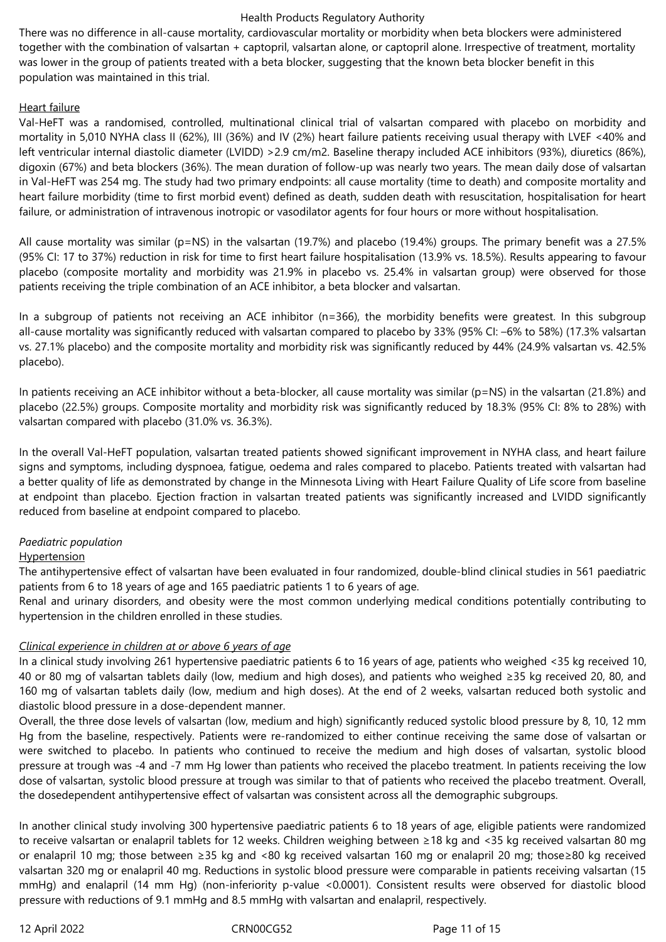There was no difference in all-cause mortality, cardiovascular mortality or morbidity when beta blockers were administered together with the combination of valsartan + captopril, valsartan alone, or captopril alone. Irrespective of treatment, mortality was lower in the group of patients treated with a beta blocker, suggesting that the known beta blocker benefit in this population was maintained in this trial.

### Heart failure

Val-HeFT was a randomised, controlled, multinational clinical trial of valsartan compared with placebo on morbidity and mortality in 5,010 NYHA class II (62%), III (36%) and IV (2%) heart failure patients receiving usual therapy with LVEF <40% and left ventricular internal diastolic diameter (LVIDD) >2.9 cm/m2. Baseline therapy included ACE inhibitors (93%), diuretics (86%), digoxin (67%) and beta blockers (36%). The mean duration of follow-up was nearly two years. The mean daily dose of valsartan in Val-HeFT was 254 mg. The study had two primary endpoints: all cause mortality (time to death) and composite mortality and heart failure morbidity (time to first morbid event) defined as death, sudden death with resuscitation, hospitalisation for heart failure, or administration of intravenous inotropic or vasodilator agents for four hours or more without hospitalisation.

All cause mortality was similar (p=NS) in the valsartan (19.7%) and placebo (19.4%) groups. The primary benefit was a 27.5% (95% CI: 17 to 37%) reduction in risk for time to first heart failure hospitalisation (13.9% vs. 18.5%). Results appearing to favour placebo (composite mortality and morbidity was 21.9% in placebo vs. 25.4% in valsartan group) were observed for those patients receiving the triple combination of an ACE inhibitor, a beta blocker and valsartan.

In a subgroup of patients not receiving an ACE inhibitor (n=366), the morbidity benefits were greatest. In this subgroup all-cause mortality was significantly reduced with valsartan compared to placebo by 33% (95% CI: –6% to 58%) (17.3% valsartan vs. 27.1% placebo) and the composite mortality and morbidity risk was significantly reduced by 44% (24.9% valsartan vs. 42.5% placebo).

In patients receiving an ACE inhibitor without a beta-blocker, all cause mortality was similar (p=NS) in the valsartan (21.8%) and placebo (22.5%) groups. Composite mortality and morbidity risk was significantly reduced by 18.3% (95% CI: 8% to 28%) with valsartan compared with placebo (31.0% vs. 36.3%).

In the overall Val-HeFT population, valsartan treated patients showed significant improvement in NYHA class, and heart failure signs and symptoms, including dyspnoea, fatigue, oedema and rales compared to placebo. Patients treated with valsartan had a better quality of life as demonstrated by change in the Minnesota Living with Heart Failure Quality of Life score from baseline at endpoint than placebo. Ejection fraction in valsartan treated patients was significantly increased and LVIDD significantly reduced from baseline at endpoint compared to placebo.

### *Paediatric population*

### **Hypertension**

The antihypertensive effect of valsartan have been evaluated in four randomized, double-blind clinical studies in 561 paediatric patients from 6 to 18 years of age and 165 paediatric patients 1 to 6 years of age.

Renal and urinary disorders, and obesity were the most common underlying medical conditions potentially contributing to hypertension in the children enrolled in these studies.

### *Clinical experience in children at or above 6 years of age*

In a clinical study involving 261 hypertensive paediatric patients 6 to 16 years of age, patients who weighed <35 kg received 10, 40 or 80 mg of valsartan tablets daily (low, medium and high doses), and patients who weighed ≥35 kg received 20, 80, and 160 mg of valsartan tablets daily (low, medium and high doses). At the end of 2 weeks, valsartan reduced both systolic and diastolic blood pressure in a dose-dependent manner.

Overall, the three dose levels of valsartan (low, medium and high) significantly reduced systolic blood pressure by 8, 10, 12 mm Hg from the baseline, respectively. Patients were re-randomized to either continue receiving the same dose of valsartan or were switched to placebo. In patients who continued to receive the medium and high doses of valsartan, systolic blood pressure at trough was -4 and -7 mm Hg lower than patients who received the placebo treatment. In patients receiving the low dose of valsartan, systolic blood pressure at trough was similar to that of patients who received the placebo treatment. Overall, the dosedependent antihypertensive effect of valsartan was consistent across all the demographic subgroups.

In another clinical study involving 300 hypertensive paediatric patients 6 to 18 years of age, eligible patients were randomized to receive valsartan or enalapril tablets for 12 weeks. Children weighing between ≥18 kg and <35 kg received valsartan 80 mg or enalapril 10 mg; those between ≥35 kg and <80 kg received valsartan 160 mg or enalapril 20 mg; those≥80 kg received valsartan 320 mg or enalapril 40 mg. Reductions in systolic blood pressure were comparable in patients receiving valsartan (15 mmHg) and enalapril (14 mm Hg) (non-inferiority p-value <0.0001). Consistent results were observed for diastolic blood pressure with reductions of 9.1 mmHg and 8.5 mmHg with valsartan and enalapril, respectively.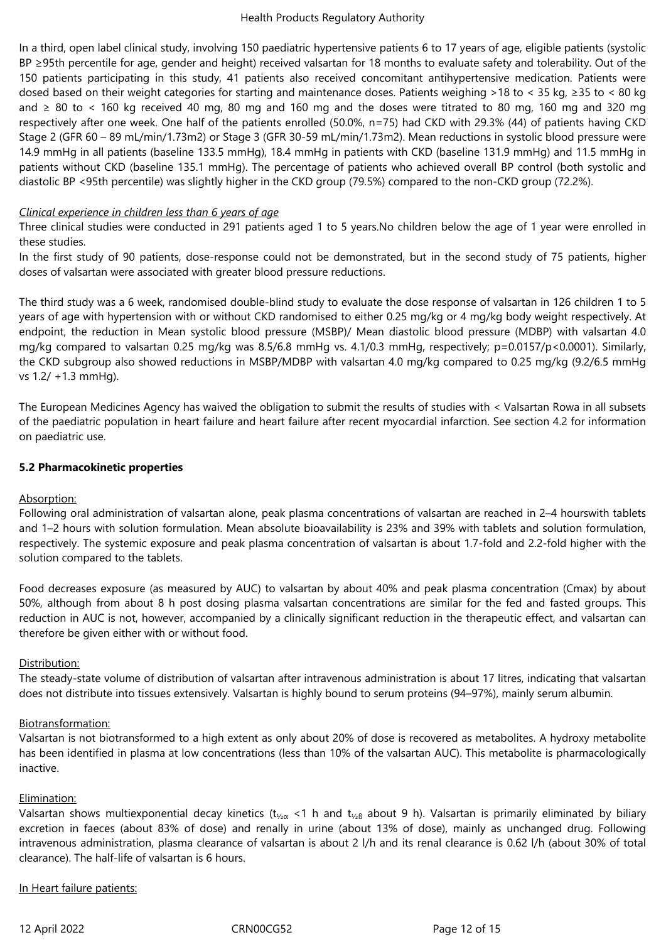In a third, open label clinical study, involving 150 paediatric hypertensive patients 6 to 17 years of age, eligible patients (systolic BP ≥95th percentile for age, gender and height) received valsartan for 18 months to evaluate safety and tolerability. Out of the 150 patients participating in this study, 41 patients also received concomitant antihypertensive medication. Patients were dosed based on their weight categories for starting and maintenance doses. Patients weighing >18 to < 35 kg, ≥35 to < 80 kg and ≥ 80 to < 160 kg received 40 mg, 80 mg and 160 mg and the doses were titrated to 80 mg, 160 mg and 320 mg respectively after one week. One half of the patients enrolled (50.0%, n=75) had CKD with 29.3% (44) of patients having CKD Stage 2 (GFR 60 – 89 mL/min/1.73m2) or Stage 3 (GFR 30-59 mL/min/1.73m2). Mean reductions in systolic blood pressure were 14.9 mmHg in all patients (baseline 133.5 mmHg), 18.4 mmHg in patients with CKD (baseline 131.9 mmHg) and 11.5 mmHg in patients without CKD (baseline 135.1 mmHg). The percentage of patients who achieved overall BP control (both systolic and diastolic BP <95th percentile) was slightly higher in the CKD group (79.5%) compared to the non-CKD group (72.2%).

### *Clinical experience in children less than 6 years of age*

Three clinical studies were conducted in 291 patients aged 1 to 5 years.No children below the age of 1 year were enrolled in these studies.

In the first study of 90 patients, dose-response could not be demonstrated, but in the second study of 75 patients, higher doses of valsartan were associated with greater blood pressure reductions.

The third study was a 6 week, randomised double-blind study to evaluate the dose response of valsartan in 126 children 1 to 5 years of age with hypertension with or without CKD randomised to either 0.25 mg/kg or 4 mg/kg body weight respectively. At endpoint, the reduction in Mean systolic blood pressure (MSBP)/ Mean diastolic blood pressure (MDBP) with valsartan 4.0 mg/kg compared to valsartan 0.25 mg/kg was 8.5/6.8 mmHg vs. 4.1/0.3 mmHg, respectively; p=0.0157/p<0.0001). Similarly, the CKD subgroup also showed reductions in MSBP/MDBP with valsartan 4.0 mg/kg compared to 0.25 mg/kg (9.2/6.5 mmHg vs 1.2/ +1.3 mmHg).

The European Medicines Agency has waived the obligation to submit the results of studies with < Valsartan Rowa in all subsets of the paediatric population in heart failure and heart failure after recent myocardial infarction. See section 4.2 for information on paediatric use.

# **5.2 Pharmacokinetic properties**

# Absorption:

Following oral administration of valsartan alone, peak plasma concentrations of valsartan are reached in 2–4 hourswith tablets and 1–2 hours with solution formulation. Mean absolute bioavailability is 23% and 39% with tablets and solution formulation, respectively. The systemic exposure and peak plasma concentration of valsartan is about 1.7-fold and 2.2-fold higher with the solution compared to the tablets.

Food decreases exposure (as measured by AUC) to valsartan by about 40% and peak plasma concentration (Cmax) by about 50%, although from about 8 h post dosing plasma valsartan concentrations are similar for the fed and fasted groups. This reduction in AUC is not, however, accompanied by a clinically significant reduction in the therapeutic effect, and valsartan can therefore be given either with or without food.

# Distribution:

The steady-state volume of distribution of valsartan after intravenous administration is about 17 litres, indicating that valsartan does not distribute into tissues extensively. Valsartan is highly bound to serum proteins (94–97%), mainly serum albumin.

# Biotransformation:

Valsartan is not biotransformed to a high extent as only about 20% of dose is recovered as metabolites. A hydroxy metabolite has been identified in plasma at low concentrations (less than 10% of the valsartan AUC). This metabolite is pharmacologically inactive.

### Elimination:

Valsartan shows multiexponential decay kinetics ( $t_{\frac{1}{2}a}$  <1 h and  $t_{\frac{1}{2}b}$  about 9 h). Valsartan is primarily eliminated by biliary excretion in faeces (about 83% of dose) and renally in urine (about 13% of dose), mainly as unchanged drug. Following intravenous administration, plasma clearance of valsartan is about 2 l/h and its renal clearance is 0.62 l/h (about 30% of total clearance). The half-life of valsartan is 6 hours.

# In Heart failure patients: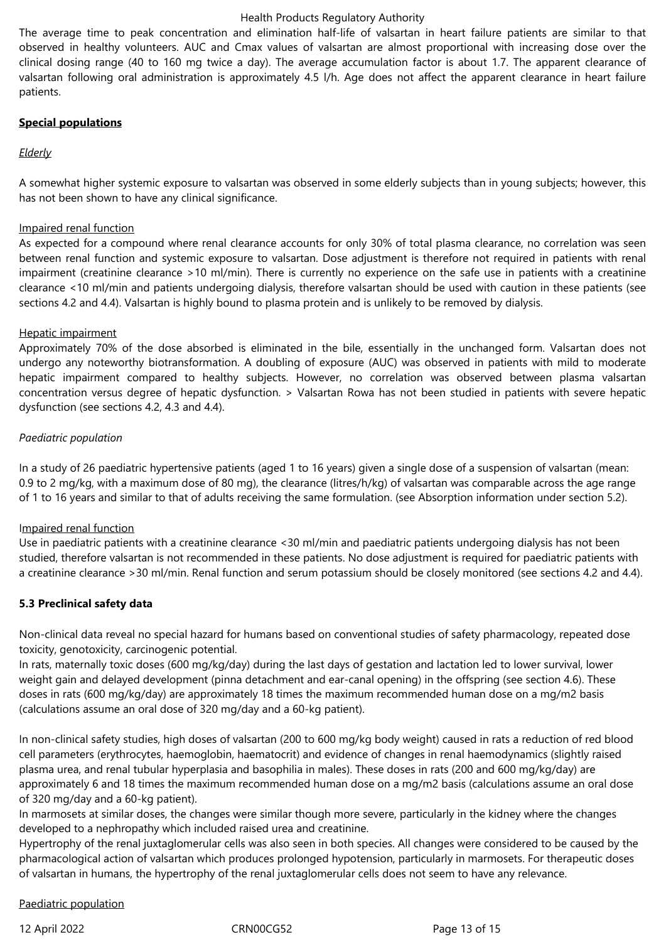The average time to peak concentration and elimination half-life of valsartan in heart failure patients are similar to that observed in healthy volunteers. AUC and Cmax values of valsartan are almost proportional with increasing dose over the clinical dosing range (40 to 160 mg twice a day). The average accumulation factor is about 1.7. The apparent clearance of valsartan following oral administration is approximately 4.5 l/h. Age does not affect the apparent clearance in heart failure patients.

# **Special populations**

# *Elderly*

A somewhat higher systemic exposure to valsartan was observed in some elderly subjects than in young subjects; however, this has not been shown to have any clinical significance.

### Impaired renal function

As expected for a compound where renal clearance accounts for only 30% of total plasma clearance, no correlation was seen between renal function and systemic exposure to valsartan. Dose adjustment is therefore not required in patients with renal impairment (creatinine clearance >10 ml/min). There is currently no experience on the safe use in patients with a creatinine clearance <10 ml/min and patients undergoing dialysis, therefore valsartan should be used with caution in these patients (see sections 4.2 and 4.4). Valsartan is highly bound to plasma protein and is unlikely to be removed by dialysis.

# Hepatic impairment

Approximately 70% of the dose absorbed is eliminated in the bile, essentially in the unchanged form. Valsartan does not undergo any noteworthy biotransformation. A doubling of exposure (AUC) was observed in patients with mild to moderate hepatic impairment compared to healthy subjects. However, no correlation was observed between plasma valsartan concentration versus degree of hepatic dysfunction. > Valsartan Rowa has not been studied in patients with severe hepatic dysfunction (see sections 4.2, 4.3 and 4.4).

# *Paediatric population*

In a study of 26 paediatric hypertensive patients (aged 1 to 16 years) given a single dose of a suspension of valsartan (mean: 0.9 to 2 mg/kg, with a maximum dose of 80 mg), the clearance (litres/h/kg) of valsartan was comparable across the age range of 1 to 16 years and similar to that of adults receiving the same formulation. (see Absorption information under section 5.2).

### Impaired renal function

Use in paediatric patients with a creatinine clearance <30 ml/min and paediatric patients undergoing dialysis has not been studied, therefore valsartan is not recommended in these patients. No dose adjustment is required for paediatric patients with a creatinine clearance >30 ml/min. Renal function and serum potassium should be closely monitored (see sections 4.2 and 4.4).

### **5.3 Preclinical safety data**

Non-clinical data reveal no special hazard for humans based on conventional studies of safety pharmacology, repeated dose toxicity, genotoxicity, carcinogenic potential.

In rats, maternally toxic doses (600 mg/kg/day) during the last days of gestation and lactation led to lower survival, lower weight gain and delayed development (pinna detachment and ear-canal opening) in the offspring (see section 4.6). These doses in rats (600 mg/kg/day) are approximately 18 times the maximum recommended human dose on a mg/m2 basis (calculations assume an oral dose of 320 mg/day and a 60-kg patient).

In non-clinical safety studies, high doses of valsartan (200 to 600 mg/kg body weight) caused in rats a reduction of red blood cell parameters (erythrocytes, haemoglobin, haematocrit) and evidence of changes in renal haemodynamics (slightly raised plasma urea, and renal tubular hyperplasia and basophilia in males). These doses in rats (200 and 600 mg/kg/day) are approximately 6 and 18 times the maximum recommended human dose on a mg/m2 basis (calculations assume an oral dose of 320 mg/day and a 60-kg patient).

In marmosets at similar doses, the changes were similar though more severe, particularly in the kidney where the changes developed to a nephropathy which included raised urea and creatinine.

Hypertrophy of the renal juxtaglomerular cells was also seen in both species. All changes were considered to be caused by the pharmacological action of valsartan which produces prolonged hypotension, particularly in marmosets. For therapeutic doses of valsartan in humans, the hypertrophy of the renal juxtaglomerular cells does not seem to have any relevance.

### Paediatric population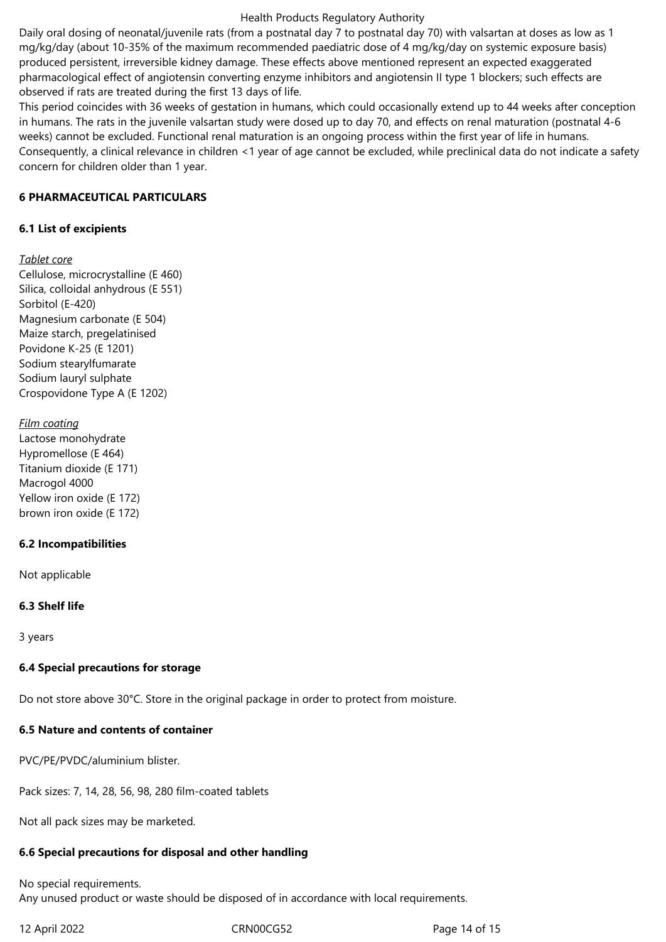Daily oral dosing of neonatal/juvenile rats (from a postnatal day 7 to postnatal day 70) with valsartan at doses as low as 1 mg/kg/day (about 10-35% of the maximum recommended paediatric dose of 4 mg/kg/day on systemic exposure basis) produced persistent, irreversible kidney damage. These effects above mentioned represent an expected exaggerated pharmacological effect of angiotensin converting enzyme inhibitors and angiotensin II type 1 blockers; such effects are observed if rats are treated during the first 13 days of life.

This period coincides with 36 weeks of gestation in humans, which could occasionally extend up to 44 weeks after conception in humans. The rats in the juvenile valsartan study were dosed up to day 70, and effects on renal maturation (postnatal 4-6 weeks) cannot be excluded. Functional renal maturation is an ongoing process within the first year of life in humans. Consequently, a clinical relevance in children <1 year of age cannot be excluded, while preclinical data do not indicate a safety concern for children older than 1 year.

### **6 PHARMACEUTICAL PARTICULARS**

# **6.1 List of excipients**

# *Tablet core*

Cellulose, microcrystalline (E 460) Silica, colloidal anhydrous (E 551) Sorbitol (E-420) Magnesium carbonate (E 504) Maize starch, pregelatinised Povidone K-25 (E 1201) Sodium stearylfumarate Sodium lauryl sulphate Crospovidone Type A (E 1202)

# *Film coating* Lactose monohydrate Hypromellose (E 464) Titanium dioxide (E 171)

Macrogol 4000 Yellow iron oxide (E 172) brown iron oxide (E 172)

# **6.2 Incompatibilities**

Not applicable

# **6.3 Shelf life**

3 years

# **6.4 Special precautions for storage**

Do not store above 30°C. Store in the original package in order to protect from moisture.

# **6.5 Nature and contents of container**

PVC/PE/PVDC/aluminium blister.

Pack sizes: 7, 14, 28, 56, 98, 280 film-coated tablets

Not all pack sizes may be marketed.

# **6.6 Special precautions for disposal and other handling**

No special requirements. Any unused product or waste should be disposed of in accordance with local requirements.